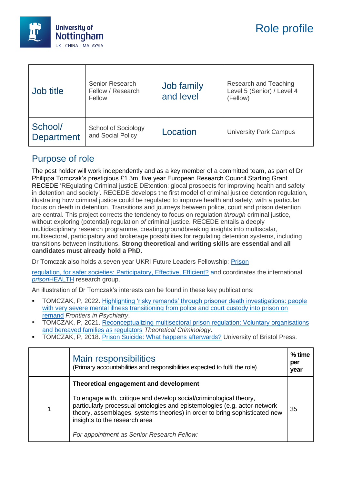

| Job title                    | Senior Research<br>Fellow / Research<br>Fellow | Job family<br>and level | Research and Teaching<br>Level 5 (Senior) / Level 4<br>(Fellow) |
|------------------------------|------------------------------------------------|-------------------------|-----------------------------------------------------------------|
| School/<br><b>Department</b> | School of Sociology<br>and Social Policy       | Location                | <b>University Park Campus</b>                                   |

### Purpose of role

The post holder will work independently and as a key member of a committed team, as part of Dr Philippa Tomczak's prestigious £1.3m, five year European Research Council Starting Grant RECEDE 'REgulating Criminal justicE DEtention: glocal prospects for improving health and safety in detention and society'. RECEDE develops the first model of criminal justice detention regulation, illustrating how criminal justice could be regulated to improve health and safety, with a particular focus on death in detention. Transitions and journeys between police, court and prison detention are central. This project corrects the tendency to focus on regulation *through* criminal justice, without exploring (potential) regulation *of* criminal justice. RECEDE entails a deeply multidisciplinary research programme, creating groundbreaking insights into multiscalar, multisectoral, participatory and brokerage possibilities for regulating detention systems, including transitions between institutions. **Strong theoretical and writing skills are essential and all candidates must already hold a PhD.** 

Dr Tomczak also holds a seven year UKRI Future Leaders Fellowship: [Prison](https://www.safesoc.co.uk/)

[regulation, for safer societies: Participatory, Effective, Efficient?](https://www.safesoc.co.uk/) and coordinates the international *prison*[HEALTH](https://www.nottingham.ac.uk/research/groups/prisons-health-and-societies/index.aspx) research group.

An illustration of Dr Tomczak's interests can be found in these key publications:

- TOMCZAK, P, 2022. [Highlighting 'risky remands' through prisoner death investigations: people](https://www.frontiersin.org/articles/10.3389/fpsyt.2022.862365/full?&utm_source=Email_to_authors_&utm_medium=Email&utm_content=T1_11.5e1_author&utm_campaign=Email_publication&field=&journalName=Frontiers_in_Psychiatry&id=862365)  [with very severe mental illness transitioning from police and court custody into prison on](https://www.frontiersin.org/articles/10.3389/fpsyt.2022.862365/full?&utm_source=Email_to_authors_&utm_medium=Email&utm_content=T1_11.5e1_author&utm_campaign=Email_publication&field=&journalName=Frontiers_in_Psychiatry&id=862365)  [remand](https://www.frontiersin.org/articles/10.3389/fpsyt.2022.862365/full?&utm_source=Email_to_authors_&utm_medium=Email&utm_content=T1_11.5e1_author&utm_campaign=Email_publication&field=&journalName=Frontiers_in_Psychiatry&id=862365) *Frontiers in Psychiatry*.
- **TOMCZAK, P, 2021. Reconceptualizing multisectoral prison regulation: Voluntary organisations** [and bereaved families as regulators](https://journals.sagepub.com/doi/full/10.1177/1362480621989264) *Theoretical Criminology*.
- TOMCZAK, P, 2018. [Prison Suicide: What happens afterwards?](https://www.nottingham.ac.uk/sociology/people/Prison%20suicide:%20What%20happens%20afterwards?) University of Bristol Press.

| <b>Main responsibilities</b><br>(Primary accountabilities and responsibilities expected to fulfil the role)                                                                                                                                                    | $%$ time<br>per<br>year |
|----------------------------------------------------------------------------------------------------------------------------------------------------------------------------------------------------------------------------------------------------------------|-------------------------|
| Theoretical engagement and development                                                                                                                                                                                                                         |                         |
| To engage with, critique and develop social/criminological theory,<br>particularly processual ontologies and epistemologies (e.g. actor-network<br>theory, assemblages, systems theories) in order to bring sophisticated new<br>insights to the research area | 35                      |
| For appointment as Senior Research Fellow:                                                                                                                                                                                                                     |                         |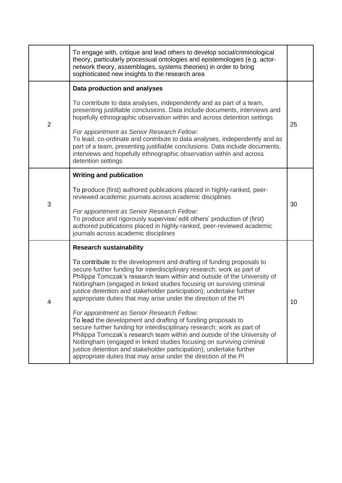|                | To engage with, critique and lead others to develop social/criminological<br>theory, particularly processual ontologies and epistemologies (e.g. actor-<br>network theory, assemblages, systems theories) in order to bring<br>sophisticated new insights to the research area                                                                                                                                                                                                     |    |  |
|----------------|------------------------------------------------------------------------------------------------------------------------------------------------------------------------------------------------------------------------------------------------------------------------------------------------------------------------------------------------------------------------------------------------------------------------------------------------------------------------------------|----|--|
|                | Data production and analyses                                                                                                                                                                                                                                                                                                                                                                                                                                                       |    |  |
| $\overline{2}$ | To contribute to data analyses, independently and as part of a team,<br>presenting justifiable conclusions. Data include documents, interviews and<br>hopefully ethnographic observation within and across detention settings                                                                                                                                                                                                                                                      | 25 |  |
|                | For appointment as Senior Research Fellow:<br>To lead, co-ordinate and contribute to data analyses, independently and as<br>part of a team, presenting justifiable conclusions. Data include documents,<br>interviews and hopefully ethnographic observation within and across<br>detention settings                                                                                                                                                                               |    |  |
|                | <b>Writing and publication</b>                                                                                                                                                                                                                                                                                                                                                                                                                                                     |    |  |
| 3              | To produce (first) authored publications placed in highly-ranked, peer-<br>reviewed academic journals across academic disciplines                                                                                                                                                                                                                                                                                                                                                  | 30 |  |
|                | For appointment as Senior Research Fellow:<br>To produce and rigorously supervise/ edit others' production of (first)<br>authored publications placed in highly-ranked, peer-reviewed academic<br>journals across academic disciplines                                                                                                                                                                                                                                             |    |  |
|                | <b>Research sustainability</b>                                                                                                                                                                                                                                                                                                                                                                                                                                                     |    |  |
|                | To contribute to the development and drafting of funding proposals to<br>secure further funding for interdisciplinary research; work as part of<br>Philippa Tomczak's research team within and outside of the University of<br>Nottingham (engaged in linked studies focusing on surviving criminal<br>justice detention and stakeholder participation); undertake further<br>appropriate duties that may arise under the direction of the PI<br>10                                |    |  |
|                | For appointment as Senior Research Fellow:<br>To lead the development and drafting of funding proposals to<br>secure further funding for interdisciplinary research; work as part of<br>Philippa Tomczak's research team within and outside of the University of<br>Nottingham (engaged in linked studies focusing on surviving criminal<br>justice detention and stakeholder participation); undertake further<br>appropriate duties that may arise under the direction of the PI |    |  |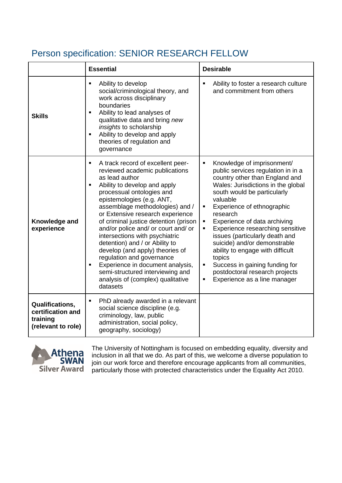# Person specification: SENIOR RESEARCH FELLOW

|                                                                               | <b>Essential</b>                                                                                                                                                                                                                                                                                                                                                                                                                                                                                                                                                                                                                                          | <b>Desirable</b>                                                                                                                                                                                                                                                                                                                                                                                                                                                                                                                                                                                        |
|-------------------------------------------------------------------------------|-----------------------------------------------------------------------------------------------------------------------------------------------------------------------------------------------------------------------------------------------------------------------------------------------------------------------------------------------------------------------------------------------------------------------------------------------------------------------------------------------------------------------------------------------------------------------------------------------------------------------------------------------------------|---------------------------------------------------------------------------------------------------------------------------------------------------------------------------------------------------------------------------------------------------------------------------------------------------------------------------------------------------------------------------------------------------------------------------------------------------------------------------------------------------------------------------------------------------------------------------------------------------------|
| <b>Skills</b>                                                                 | Ability to develop<br>٠<br>social/criminological theory, and<br>work across disciplinary<br>boundaries<br>Ability to lead analyses of<br>$\blacksquare$<br>qualitative data and bring new<br>insights to scholarship<br>Ability to develop and apply<br>$\blacksquare$<br>theories of regulation and<br>governance                                                                                                                                                                                                                                                                                                                                        | Ability to foster a research culture<br>and commitment from others                                                                                                                                                                                                                                                                                                                                                                                                                                                                                                                                      |
| Knowledge and<br>experience                                                   | A track record of excellent peer-<br>$\blacksquare$<br>reviewed academic publications<br>as lead author<br>Ability to develop and apply<br>$\blacksquare$<br>processual ontologies and<br>epistemologies (e.g. ANT,<br>assemblage methodologies) and /<br>or Extensive research experience<br>of criminal justice detention (prison<br>and/or police and/ or court and/ or<br>intersections with psychiatric<br>detention) and / or Ability to<br>develop (and apply) theories of<br>regulation and governance<br>Experience in document analysis,<br>$\blacksquare$<br>semi-structured interviewing and<br>analysis of (complex) qualitative<br>datasets | Knowledge of imprisonment/<br>$\blacksquare$<br>public services regulation in in a<br>country other than England and<br>Wales: Jurisdictions in the global<br>south would be particularly<br>valuable<br>Experience of ethnographic<br>$\blacksquare$<br>research<br>Experience of data archiving<br>$\blacksquare$<br>Experience researching sensitive<br>٠<br>issues (particularly death and<br>suicide) and/or demonstrable<br>ability to engage with difficult<br>topics<br>Success in gaining funding for<br>$\blacksquare$<br>postdoctoral research projects<br>Experience as a line manager<br>٠ |
| <b>Qualifications,</b><br>certification and<br>training<br>(relevant to role) | PhD already awarded in a relevant<br>٠<br>social science discipline (e.g.<br>criminology, law, public<br>administration, social policy,<br>geography, sociology)                                                                                                                                                                                                                                                                                                                                                                                                                                                                                          |                                                                                                                                                                                                                                                                                                                                                                                                                                                                                                                                                                                                         |



The University of Nottingham is focused on embedding equality, diversity and inclusion in all that we do. As part of this, we welcome a diverse population to join our work force and therefore encourage applicants from all communities, particularly those with protected characteristics under the Equality Act 2010.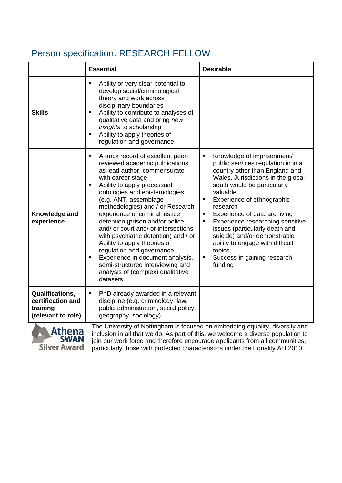# Person specification: RESEARCH FELLOW

|                                                                               | <b>Essential</b>                                                                                                                                                                                                                                                                                                                                                                                                                                                                                                                                                                                               | <b>Desirable</b>                                                                                                                                                                                                                                                                                                                                                                                                                                                                                               |
|-------------------------------------------------------------------------------|----------------------------------------------------------------------------------------------------------------------------------------------------------------------------------------------------------------------------------------------------------------------------------------------------------------------------------------------------------------------------------------------------------------------------------------------------------------------------------------------------------------------------------------------------------------------------------------------------------------|----------------------------------------------------------------------------------------------------------------------------------------------------------------------------------------------------------------------------------------------------------------------------------------------------------------------------------------------------------------------------------------------------------------------------------------------------------------------------------------------------------------|
| <b>Skills</b>                                                                 | Ability or very clear potential to<br>٠<br>develop social/criminological<br>theory and work across<br>disciplinary boundaries<br>Ability to contribute to analyses of<br>$\blacksquare$<br>qualitative data and bring new<br>insights to scholarship<br>Ability to apply theories of<br>$\blacksquare$<br>regulation and governance                                                                                                                                                                                                                                                                            |                                                                                                                                                                                                                                                                                                                                                                                                                                                                                                                |
| Knowledge and<br>experience                                                   | A track record of excellent peer-<br>٠<br>reviewed academic publications<br>as lead author, commensurate<br>with career stage<br>Ability to apply processual<br>٠<br>ontologies and epistemologies<br>(e.g. ANT, assemblage<br>methodologies) and / or Research<br>experience of criminal justice<br>detention (prison and/or police<br>and/ or court and/ or intersections<br>with psychiatric detention) and / or<br>Ability to apply theories of<br>regulation and governance<br>Experience in document analysis,<br>٠<br>semi-structured interviewing and<br>analysis of (complex) qualitative<br>datasets | Knowledge of imprisonment/<br>٠<br>public services regulation in in a<br>country other than England and<br>Wales. Jurisdictions in the global<br>south would be particularly<br>valuable<br>Experience of ethnographic<br>$\blacksquare$<br>research<br>Experience of data archiving<br>$\blacksquare$<br>Experience researching sensitive<br>п<br>issues (particularly death and<br>suicide) and/or demonstrable<br>ability to engage with difficult<br>topics<br>Success in gaining research<br>٠<br>funding |
| <b>Qualifications,</b><br>certification and<br>training<br>(relevant to role) | PhD already awarded in a relevant<br>٠<br>discipline (e.g. criminology, law,<br>public administration, social policy,<br>geography, sociology)                                                                                                                                                                                                                                                                                                                                                                                                                                                                 |                                                                                                                                                                                                                                                                                                                                                                                                                                                                                                                |
| Athana                                                                        |                                                                                                                                                                                                                                                                                                                                                                                                                                                                                                                                                                                                                | The University of Nottingham is focused on embedding equality, diversity and                                                                                                                                                                                                                                                                                                                                                                                                                                   |



inclusion in all that we do. As part of this, we welcome a diverse population to join our work force and therefore encourage applicants from all communities, particularly those with protected characteristics under the Equality Act 2010.